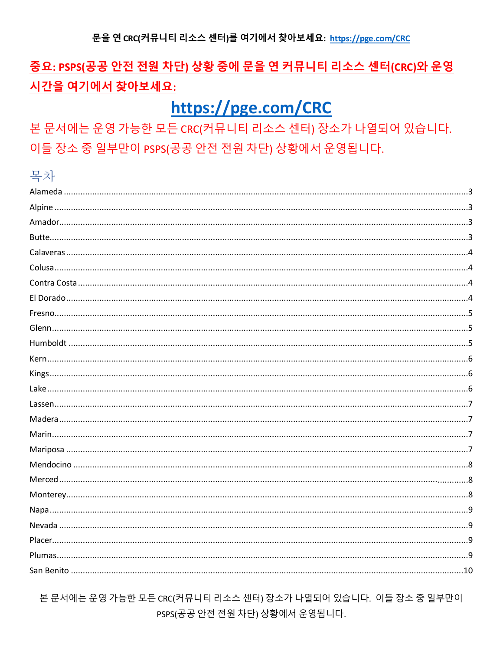# 중요: PSPS(공공 안전 전원 차단) 상황 중에 문을 연 커뮤니티 리소스 센터(CRC)와 운영 시간을 여기에서 찾아보세요:

# https://pge.com/CRC

본 문서에는 운영 가능한 모든 CRC(커뮤니티 리소스 센터) 장소가 나열되어 있습니다. 이들 장소 중 일부만이 PSPS(공공 안전 전원 차단) 상황에서 운영됩니다.

#### 목차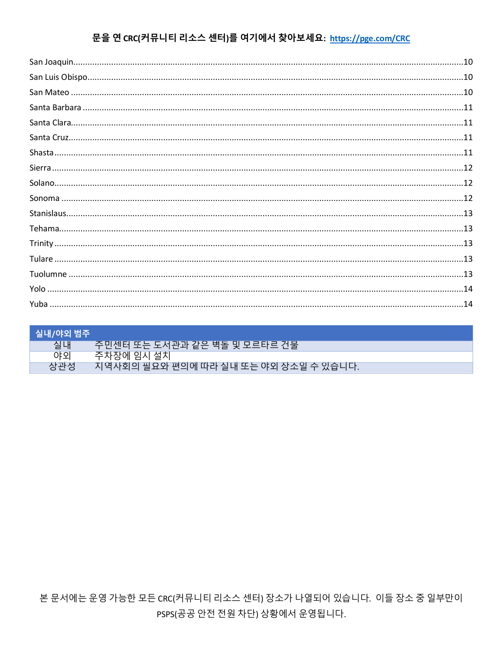| ┃ 실내/야외 범주 |                                       |
|------------|---------------------------------------|
| 실내         | 주민센터 또는 도서관과 같은 벽돌 및 모르타르 건물          |
| 야오         | 주차장에 임시 설치                            |
| 상관성        | 지역사회의 필요와 편의에 따라 실내 또는 야외 장소일 수 있습니다. |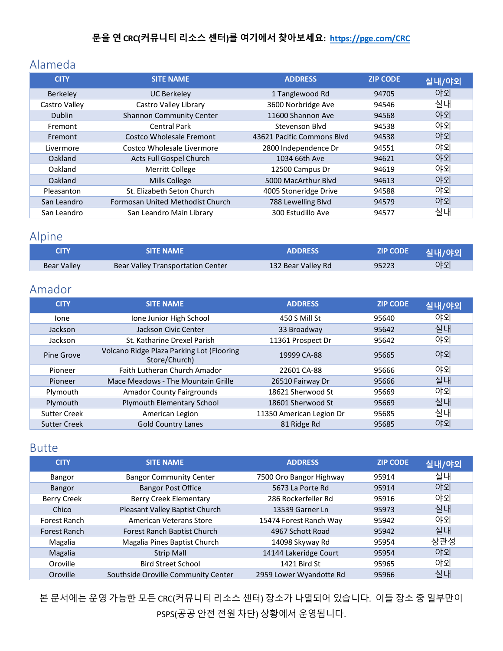### <span id="page-2-0"></span>Alameda

| <b>CITY</b>     | <b>SITE NAME</b>                 | <b>ADDRESS</b>             | <b>ZIP CODE</b> | 실내/야외 |
|-----------------|----------------------------------|----------------------------|-----------------|-------|
| <b>Berkeley</b> | <b>UC Berkeley</b>               | 1 Tanglewood Rd            | 94705           | 야외    |
| Castro Valley   | Castro Valley Library            | 3600 Norbridge Ave         | 94546           | 실내    |
| <b>Dublin</b>   | <b>Shannon Community Center</b>  | 11600 Shannon Ave          | 94568           | 야외    |
| Fremont         | <b>Central Park</b>              | Stevenson Blyd             | 94538           | 야외    |
| Fremont         | Costco Wholesale Fremont         | 43621 Pacific Commons Blvd | 94538           | 야외    |
| Livermore       | Costco Wholesale Livermore       | 2800 Independence Dr       | 94551           | 야외    |
| Oakland         | Acts Full Gospel Church          | 1034 66th Ave              | 94621           | 야외    |
| Oakland         | <b>Merritt College</b>           | 12500 Campus Dr            | 94619           | 야외    |
| Oakland         | <b>Mills College</b>             | 5000 MacArthur Blyd        | 94613           | 야외    |
| Pleasanton      | St. Elizabeth Seton Church       | 4005 Stoneridge Drive      | 94588           | 야외    |
| San Leandro     | Formosan United Methodist Church | 788 Lewelling Blvd         | 94579           | 야외    |
| San Leandro     | San Leandro Main Library         | 300 Estudillo Ave          | 94577           | 실내    |

### <span id="page-2-1"></span>Alpine

| <b>CITY</b> | <b>SITE NAME</b>                  | <b>ADDRESS</b>     | <b>ZIP CODE</b> | <b>'실내/야외</b> |
|-------------|-----------------------------------|--------------------|-----------------|---------------|
| Bear Valley | Bear Valley Transportation Center | 132 Bear Valley Rd | 95223           | 야외            |

#### <span id="page-2-2"></span>Amador

| <b>CITY</b>         | <b>SITE NAME</b>                                           | <b>ADDRESS</b>           | <b>ZIP CODE</b> | 실내/야외 |
|---------------------|------------------------------------------------------------|--------------------------|-----------------|-------|
| lone                | Ione Junior High School                                    | 450 S Mill St            | 95640           | 야외    |
| Jackson             | Jackson Civic Center                                       | 33 Broadway              | 95642           | 실내    |
| Jackson             | St. Katharine Drexel Parish                                | 11361 Prospect Dr        | 95642           | 야외    |
| Pine Grove          | Volcano Ridge Plaza Parking Lot (Flooring<br>Store/Church) | 19999 CA-88              | 95665           | 야외    |
| Pioneer             | Faith Lutheran Church Amador                               | 22601 CA-88              | 95666           | 야외    |
| Pioneer             | Mace Meadows - The Mountain Grille                         | 26510 Fairway Dr         | 95666           | 실내    |
| Plymouth            | <b>Amador County Fairgrounds</b>                           | 18621 Sherwood St        | 95669           | 야외    |
| Plymouth            | Plymouth Elementary School                                 | 18601 Sherwood St        | 95669           | 실내    |
| <b>Sutter Creek</b> | American Legion                                            | 11350 American Legion Dr | 95685           | 실내    |
| <b>Sutter Creek</b> | <b>Gold Country Lanes</b>                                  | 81 Ridge Rd              | 95685           | 야외    |

#### <span id="page-2-3"></span>Butte

| <b>CITY</b>        | <b>SITE NAME</b>                    | <b>ADDRESS</b>          | <b>ZIP CODE</b> | 실내/야외 |
|--------------------|-------------------------------------|-------------------------|-----------------|-------|
| Bangor             | <b>Bangor Community Center</b>      | 7500 Oro Bangor Highway | 95914           | 실내    |
| Bangor             | <b>Bangor Post Office</b>           | 5673 La Porte Rd        | 95914           | 야외    |
| <b>Berry Creek</b> | Berry Creek Elementary              | 286 Rockerfeller Rd     | 95916           | 야외    |
| Chico              | Pleasant Valley Baptist Church      | 13539 Garner Ln         | 95973           | 실내    |
| Forest Ranch       | American Veterans Store             | 15474 Forest Ranch Way  | 95942           | 야외    |
| Forest Ranch       | Forest Ranch Baptist Church         | 4967 Schott Road        | 95942           | 실내    |
| Magalia            | Magalia Pines Baptist Church        | 14098 Skyway Rd         | 95954           | 상관성   |
| Magalia            | <b>Strip Mall</b>                   | 14144 Lakeridge Court   | 95954           | 야외    |
| Oroville           | <b>Bird Street School</b>           | 1421 Bird St            | 95965           | 야외    |
| Oroville           | Southside Oroville Community Center | 2959 Lower Wyandotte Rd | 95966           | 실내    |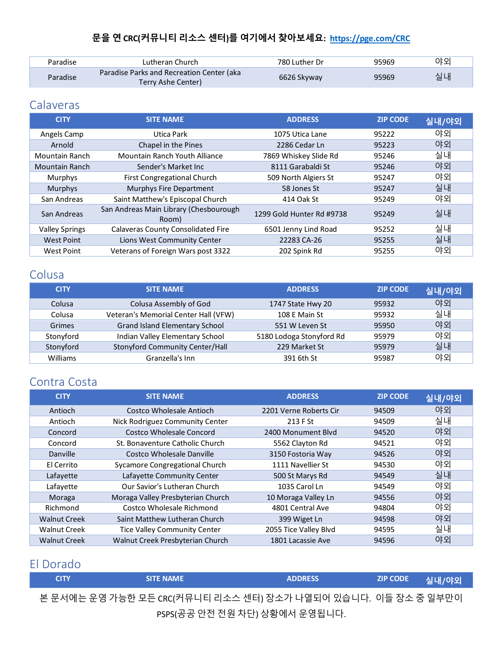| Paradise | Lutheran Church                                                 | 780 Luther Dr | 95969 | 야외 |
|----------|-----------------------------------------------------------------|---------------|-------|----|
| Paradise | Paradise Parks and Recreation Center (aka<br>Terry Ashe Center) | 6626 Skyway   | 95969 | 실내 |

### <span id="page-3-0"></span>**Calaveras**

| <b>CITY</b>           | <b>SITE NAME</b>                                | <b>ADDRESS</b>            | <b>ZIP CODE</b> | 실내/야외 |
|-----------------------|-------------------------------------------------|---------------------------|-----------------|-------|
| Angels Camp           | Utica Park                                      | 1075 Utica Lane           | 95222           | 야외    |
| Arnold                | Chapel in the Pines                             | 2286 Cedar Ln             | 95223           | 야외    |
| Mountain Ranch        | Mountain Ranch Youth Alliance                   | 7869 Whiskey Slide Rd     | 95246           | 실내    |
| <b>Mountain Ranch</b> | Sender's Market Inc                             | 8111 Garabaldi St         | 95246           | 야외    |
| Murphys               | <b>First Congregational Church</b>              | 509 North Algiers St      | 95247           | 야외    |
| Murphys               | Murphys Fire Department                         | 58 Jones St               | 95247           | 실내    |
| San Andreas           | Saint Matthew's Episcopal Church                | 414 Oak St                | 95249           | 야외    |
| San Andreas           | San Andreas Main Library (Chesbourough<br>Room) | 1299 Gold Hunter Rd #9738 | 95249           | 실내    |
| <b>Valley Springs</b> | <b>Calaveras County Consolidated Fire</b>       | 6501 Jenny Lind Road      | 95252           | 실내    |
| <b>West Point</b>     | Lions West Community Center                     | 22283 CA-26               | 95255           | 실내    |
| <b>West Point</b>     | Veterans of Foreign Wars post 3322              | 202 Spink Rd              | 95255           | 야외    |

# <span id="page-3-1"></span>Colusa

| <b>CITY</b> | <b>SITE NAME</b>                     | <b>ADDRESS</b>           | <b>ZIP CODE</b> | 실내/야외 |
|-------------|--------------------------------------|--------------------------|-----------------|-------|
| Colusa      | Colusa Assembly of God               | 1747 State Hwy 20        | 95932           | 야외    |
| Colusa      | Veteran's Memorial Center Hall (VFW) | 108 E Main St            | 95932           | 실내    |
| Grimes      | Grand Island Elementary School       | 551 W Leven St           | 95950           | 야외    |
| Stonyford   | Indian Valley Elementary School      | 5180 Lodoga Stonyford Rd | 95979           | 야외    |
| Stonyford   | Stonyford Community Center/Hall      | 229 Market St            | 95979           | 실내    |
| Williams    | Granzella's Inn                      | 391 6th St               | 95987           | 야외    |

#### <span id="page-3-2"></span>Contra Costa

| <b>CITY</b>         | <b>SITE NAME</b>                    | <b>ADDRESS</b>         | <b>ZIP CODE</b> | 실내/야외 |
|---------------------|-------------------------------------|------------------------|-----------------|-------|
| Antioch             | Costco Wholesale Antioch            | 2201 Verne Roberts Cir | 94509           | 야외    |
| Antioch             | Nick Rodriguez Community Center     | 213 F St               | 94509           | 실내    |
| Concord             | Costco Wholesale Concord            | 2400 Monument Blvd     | 94520           | 야외    |
| Concord             | St. Bonaventure Catholic Church     | 5562 Clayton Rd        | 94521           | 야외    |
| Danville            | Costco Wholesale Danville           | 3150 Fostoria Way      | 94526           | 야외    |
| El Cerrito          | Sycamore Congregational Church      | 1111 Navellier St      | 94530           | 야외    |
| Lafayette           | Lafayette Community Center          | 500 St Marys Rd        | 94549           | 실내    |
| Lafayette           | Our Savior's Lutheran Church        | 1035 Carol Ln          | 94549           | 야외    |
| Moraga              | Moraga Valley Presbyterian Church   | 10 Moraga Valley Ln    | 94556           | 야외    |
| Richmond            | Costco Wholesale Richmond           | 4801 Central Ave       | 94804           | 야외    |
| <b>Walnut Creek</b> | Saint Matthew Lutheran Church       | 399 Wiget Ln           | 94598           | 야외    |
| <b>Walnut Creek</b> | <b>Tice Valley Community Center</b> | 2055 Tice Valley Blvd  | 94595           | 실내    |
| <b>Walnut Creek</b> | Walnut Creek Presbyterian Church    | 1801 Lacassie Ave      | 94596           | 야외    |

# <span id="page-3-3"></span>El Dorado

| <b>CITY</b> | <b>SITE NAME</b> | <b>ADDRESS</b>                                                | <b>ZIP CODE</b> | ■ 실내/야외 <sup>\</sup> |
|-------------|------------------|---------------------------------------------------------------|-----------------|----------------------|
|             |                  | 본 문서에는 운영 가능한 모든 CRC(커뮤니티 리소스 센터) 장소가 나열되어 있습니다. 이들 장소 중 일부만이 |                 |                      |
|             |                  | PSPS(공공 안전 전원 차단) 상황에서 운영됩니다.                                 |                 |                      |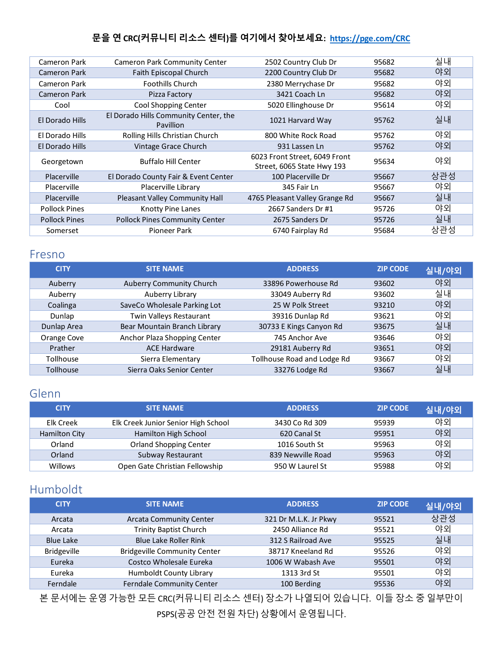| Cameron Park         | <b>Cameron Park Community Center</b>                      | 2502 Country Club Dr                                        | 95682 | 실내  |
|----------------------|-----------------------------------------------------------|-------------------------------------------------------------|-------|-----|
| Cameron Park         | Faith Episcopal Church                                    | 2200 Country Club Dr                                        | 95682 | 야외  |
| Cameron Park         | <b>Foothills Church</b>                                   | 2380 Merrychase Dr                                          | 95682 | 야외  |
| <b>Cameron Park</b>  | Pizza Factory                                             | 3421 Coach Ln                                               | 95682 | 야외  |
| Cool                 | Cool Shopping Center                                      | 5020 Ellinghouse Dr                                         | 95614 | 야외  |
| El Dorado Hills      | El Dorado Hills Community Center, the<br><b>Pavillion</b> | 1021 Harvard Way                                            | 95762 | 실내  |
| El Dorado Hills      | Rolling Hills Christian Church                            | 800 White Rock Road                                         | 95762 | 야외  |
| El Dorado Hills      | Vintage Grace Church                                      | 931 Lassen Ln                                               | 95762 | 야외  |
| Georgetown           | <b>Buffalo Hill Center</b>                                | 6023 Front Street, 6049 Front<br>Street, 6065 State Hwy 193 | 95634 | 야외  |
| Placerville          | El Dorado County Fair & Event Center                      | 100 Placerville Dr                                          | 95667 | 상관성 |
| Placerville          | Placerville Library                                       | 345 Fair Ln                                                 | 95667 | 야외  |
| Placerville          | Pleasant Valley Community Hall                            | 4765 Pleasant Valley Grange Rd                              | 95667 | 실내  |
| <b>Pollock Pines</b> | <b>Knotty Pine Lanes</b>                                  | 2667 Sanders Dr #1                                          | 95726 | 야외  |
| <b>Pollock Pines</b> | <b>Pollock Pines Community Center</b>                     | 2675 Sanders Dr                                             | 95726 | 실내  |
| Somerset             | Pioneer Park                                              | 6740 Fairplay Rd                                            | 95684 | 상관성 |
|                      |                                                           |                                                             |       |     |

#### <span id="page-4-0"></span>Fresno

| <b>CITY</b>      | <b>SITE NAME</b>             | <b>ADDRESS</b>              | <b>ZIP CODE</b> | 실내/야외 |
|------------------|------------------------------|-----------------------------|-----------------|-------|
| Auberry          | Auberry Community Church     | 33896 Powerhouse Rd         | 93602           | 야외    |
| Auberry          | Auberry Library              | 33049 Auberry Rd            | 93602           | 실내    |
| Coalinga         | SaveCo Wholesale Parking Lot | 25 W Polk Street            | 93210           | 야외    |
| Dunlap           | Twin Valleys Restaurant      | 39316 Dunlap Rd             | 93621           | 야외    |
| Dunlap Area      | Bear Mountain Branch Library | 30733 E Kings Canyon Rd     | 93675           | 실내    |
| Orange Cove      | Anchor Plaza Shopping Center | 745 Anchor Ave              | 93646           | 야외    |
| Prather          | <b>ACE Hardware</b>          | 29181 Auberry Rd            | 93651           | 야외    |
| <b>Tollhouse</b> | Sierra Elementary            | Tollhouse Road and Lodge Rd | 93667           | 야외    |
| <b>Tollhouse</b> | Sierra Oaks Senior Center    | 33276 Lodge Rd              | 93667           | 실내    |

#### <span id="page-4-1"></span>Glenn

| <b>CITY</b>   | <b>SITE NAME</b>                    | <b>ADDRESS</b>    | <b>ZIP CODE</b> | 실내/야외 |
|---------------|-------------------------------------|-------------------|-----------------|-------|
| Elk Creek     | Elk Creek Junior Senior High School | 3430 Co Rd 309    | 95939           | 야외    |
| Hamilton City | Hamilton High School                | 620 Canal St      | 95951           | 야외    |
| Orland        | <b>Orland Shopping Center</b>       | 1016 South St     | 95963           | 야외    |
| Orland        | Subway Restaurant                   | 839 Newville Road | 95963           | 야외    |
| Willows       | Open Gate Christian Fellowship      | 950 W Laurel St   | 95988           | 야외    |

#### <span id="page-4-2"></span>Humboldt

| <b>SITE NAME</b>                    | <b>ADDRESS</b>        | <b>ZIP CODE</b> | 실내/야외 |
|-------------------------------------|-----------------------|-----------------|-------|
| <b>Arcata Community Center</b>      | 321 Dr M.L.K. Jr Pkwy | 95521           | 상관성   |
| <b>Trinity Baptist Church</b>       | 2450 Alliance Rd      | 95521           | 야외    |
| <b>Blue Lake Roller Rink</b>        | 312 S Railroad Ave    | 95525           | 실내    |
| <b>Bridgeville Community Center</b> | 38717 Kneeland Rd     | 95526           | 야외    |
| Costco Wholesale Eureka             | 1006 W Wabash Ave     | 95501           | 야외    |
| Humboldt County Library             | 1313 3rd St           | 95501           | 야외    |
| Ferndale Community Center           | 100 Berding           | 95536           | 야외    |
|                                     |                       |                 |       |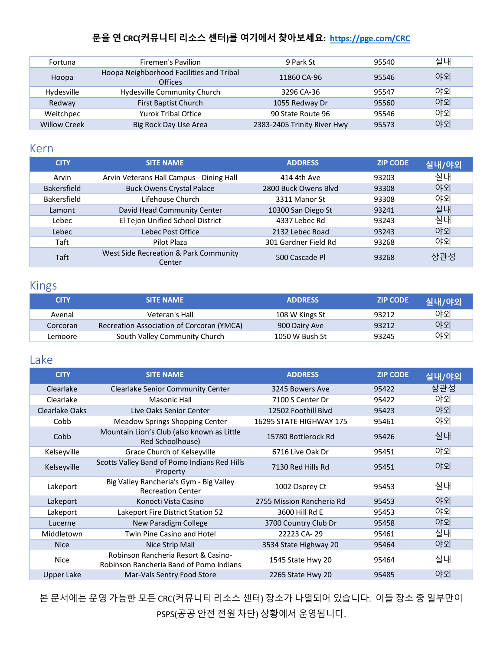| Fortuna             | Firemen's Pavilion                                         | 9 Park St                   | 95540 | 실내 |
|---------------------|------------------------------------------------------------|-----------------------------|-------|----|
| Hoopa               | Hoopa Neighborhood Facilities and Tribal<br><b>Offices</b> | 11860 CA-96                 | 95546 | 야외 |
| Hydesville          | Hydesville Community Church                                | 3296 CA-36                  | 95547 | 야외 |
| Redway              | First Baptist Church                                       | 1055 Redway Dr              | 95560 | 야외 |
| Weitchpec           | <b>Yurok Tribal Office</b>                                 | 90 State Route 96           | 95546 | 야외 |
| <b>Willow Creek</b> | Big Rock Day Use Area                                      | 2383-2405 Trinity River Hwy | 95573 | 야외 |

#### <span id="page-5-0"></span>Kern

| <b>CITY</b>        | <b>SITE NAME</b>                                | <b>ADDRESS</b>       | <b>ZIP CODE</b> | 실내/야외 |
|--------------------|-------------------------------------------------|----------------------|-----------------|-------|
| Arvin              | Arvin Veterans Hall Campus - Dining Hall        | 414 4th Ave          | 93203           | 실내    |
| <b>Bakersfield</b> | <b>Buck Owens Crystal Palace</b>                | 2800 Buck Owens Blyd | 93308           | 야외    |
| Bakersfield        | Lifehouse Church                                | 3311 Manor St        | 93308           | 야외    |
| Lamont             | David Head Community Center                     | 10300 San Diego St   | 93241           | 실내    |
| Lebec              | El Tejon Unified School District                | 4337 Lebec Rd        | 93243           | 실내    |
| Lebec              | Lebec Post Office                               | 2132 Lebec Road      | 93243           | 야외    |
| Taft               | Pilot Plaza                                     | 301 Gardner Field Rd | 93268           | 야외    |
| Taft               | West Side Recreation & Park Community<br>Center | 500 Cascade Pl       | 93268           | 상관성   |

### <span id="page-5-1"></span>Kings

| <b>CITY</b> | <b>SITE NAME</b>                          | <b>ADDRESS</b> | <b>ZIP CODE</b> | 실내/야외 |
|-------------|-------------------------------------------|----------------|-----------------|-------|
| Avenal      | Veteran's Hall                            | 108 W Kings St | 93212           | 야외    |
| Corcoran    | Recreation Association of Corcoran (YMCA) | 900 Dairy Ave  | 93212           | 야외    |
| Lemoore     | South Valley Community Church             | 1050 W Bush St | 93245           | 야외    |

#### <span id="page-5-2"></span>Lake

| <b>CITY</b>           | <b>SITE NAME</b>                                                               | <b>ADDRESS</b>            | <b>ZIP CODE</b> | 실내/야외 |
|-----------------------|--------------------------------------------------------------------------------|---------------------------|-----------------|-------|
| Clearlake             | <b>Clearlake Senior Community Center</b>                                       | 3245 Bowers Ave           | 95422           | 상관성   |
| Clearlake             | <b>Masonic Hall</b>                                                            | 7100 S Center Dr          | 95422           | 야외    |
| <b>Clearlake Oaks</b> | Live Oaks Senior Center                                                        | 12502 Foothill Blvd       | 95423           | 야외    |
| Cobb                  | Meadow Springs Shopping Center                                                 | 16295 STATE HIGHWAY 175   | 95461           | 야외    |
| Cobb                  | Mountain Lion's Club (also known as Little<br>Red Schoolhouse)                 | 15780 Bottlerock Rd       | 95426           | 실내    |
| Kelseyville           | Grace Church of Kelseyville                                                    | 6716 Live Oak Dr          | 95451           | 야외    |
| Kelseyville           | Scotts Valley Band of Pomo Indians Red Hills<br>Property                       | 7130 Red Hills Rd         | 95451           | 야외    |
| Lakeport              | Big Valley Rancheria's Gym - Big Valley<br><b>Recreation Center</b>            | 1002 Osprey Ct            | 95453           | 실내    |
| Lakeport              | Konocti Vista Casino                                                           | 2755 Mission Rancheria Rd | 95453           | 야외    |
| Lakeport              | Lakeport Fire District Station 52                                              | 3600 Hill Rd E            | 95453           | 야외    |
| Lucerne               | New Paradigm College                                                           | 3700 Country Club Dr      | 95458           | 야외    |
| Middletown            | Twin Pine Casino and Hotel                                                     | 22223 CA-29               | 95461           | 실내    |
| <b>Nice</b>           | Nice Strip Mall                                                                | 3534 State Highway 20     | 95464           | 야외    |
| Nice                  | Robinson Rancheria Resort & Casino-<br>Robinson Rancheria Band of Pomo Indians | 1545 State Hwy 20         | 95464           | 실내    |
| <b>Upper Lake</b>     | Mar-Vals Sentry Food Store                                                     | 2265 State Hwy 20         | 95485           | 야외    |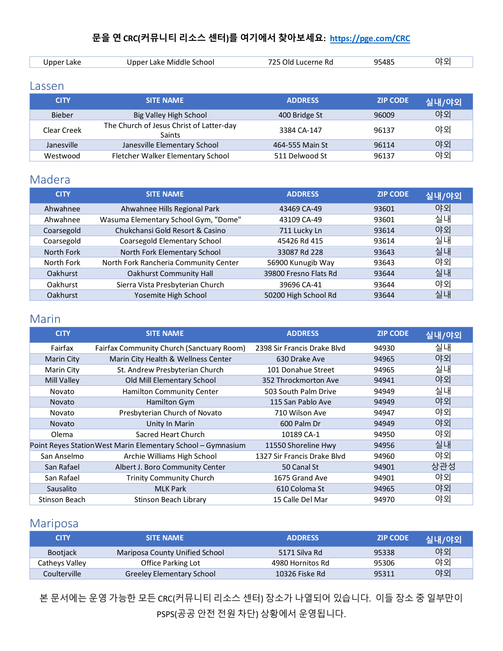| _akr | hool<br>Middle<br>ake | ne Ro<br>$^{\prime\prime}$ | ءα1.<br>-- | JE QI |
|------|-----------------------|----------------------------|------------|-------|
|      |                       |                            |            |       |

#### <span id="page-6-0"></span>Lassen

| <b>CITY</b>   | <b>SITE NAME</b>                                          | <b>ADDRESS</b>  | <b>ZIP CODE</b> | 실내/야외 |
|---------------|-----------------------------------------------------------|-----------------|-----------------|-------|
| <b>Bieber</b> | Big Valley High School                                    | 400 Bridge St   | 96009           | 야외    |
| Clear Creek   | The Church of Jesus Christ of Latter-day<br><b>Saints</b> | 3384 CA-147     | 96137           | 야외    |
| Janesville    | Janesville Elementary School                              | 464-555 Main St | 96114           | 야외    |
| Westwood      | Fletcher Walker Elementary School                         | 511 Delwood St  | 96137           | 야외    |

#### <span id="page-6-1"></span>Madera

| <b>CITY</b>     | <b>SITE NAME</b>                      | <b>ADDRESS</b>        | <b>ZIP CODE</b> | 실내/야외 |
|-----------------|---------------------------------------|-----------------------|-----------------|-------|
| Ahwahnee        | Ahwahnee Hills Regional Park          | 43469 CA-49           | 93601           | 야외    |
| Ahwahnee        | Wasuma Elementary School Gym, "Dome"  | 43109 CA-49           | 93601           | 실내    |
| Coarsegold      | Chukchansi Gold Resort & Casino       | 711 Lucky Ln          | 93614           | 야외    |
| Coarsegold      | Coarsegold Elementary School          | 45426 Rd 415          | 93614           | 실내    |
| North Fork      | North Fork Elementary School          | 33087 Rd 228          | 93643           | 실내    |
| North Fork      | North Fork Rancheria Community Center | 56900 Kunugib Way     | 93643           | 야외    |
| <b>Oakhurst</b> | <b>Oakhurst Community Hall</b>        | 39800 Fresno Flats Rd | 93644           | 실내    |
| Oakhurst        | Sierra Vista Presbyterian Church      | 39696 CA-41           | 93644           | 야외    |
| <b>Oakhurst</b> | Yosemite High School                  | 50200 High School Rd  | 93644           | 실내    |

#### <span id="page-6-2"></span>Marin

| <b>CITY</b>   | <b>SITE NAME</b>                                             | <b>ADDRESS</b>              | <b>ZIP CODE</b> | 실내/야외 |
|---------------|--------------------------------------------------------------|-----------------------------|-----------------|-------|
| Fairfax       | Fairfax Community Church (Sanctuary Room)                    | 2398 Sir Francis Drake Blvd | 94930           | 실내    |
| Marin City    | Marin City Health & Wellness Center                          | 630 Drake Ave               | 94965           | 야외    |
| Marin City    | St. Andrew Presbyterian Church                               | 101 Donahue Street          | 94965           | 실내    |
| Mill Valley   | Old Mill Elementary School                                   | 352 Throckmorton Ave        | 94941           | 야외    |
| Novato        | Hamilton Community Center                                    | 503 South Palm Drive        | 94949           | 실내    |
| <b>Novato</b> | Hamilton Gym                                                 | 115 San Pablo Ave           | 94949           | 야외    |
| Novato        | Presbyterian Church of Novato                                | 710 Wilson Ave              | 94947           | 야외    |
| <b>Novato</b> | Unity In Marin                                               | 600 Palm Dr                 | 94949           | 야외    |
| Olema         | Sacred Heart Church                                          | 10189 CA-1                  | 94950           | 야외    |
|               | Point Reyes Station West Marin Elementary School - Gymnasium | 11550 Shoreline Hwy         | 94956           | 실내    |
| San Anselmo   | Archie Williams High School                                  | 1327 Sir Francis Drake Blyd | 94960           | 야외    |
| San Rafael    | Albert J. Boro Community Center                              | 50 Canal St                 | 94901           | 상관성   |
| San Rafael    | <b>Trinity Community Church</b>                              | 1675 Grand Ave              | 94901           | 야외    |
| Sausalito     | <b>MLK Park</b>                                              | 610 Coloma St               | 94965           | 야외    |
| Stinson Beach | Stinson Beach Library                                        | 15 Calle Del Mar            | 94970           | 야외    |

#### <span id="page-6-3"></span>Mariposa

| <b>CITY</b>     | <b>SITE NAME</b>               | <b>ADDRESS</b>   | <b>ZIP CODE</b> | 실내/야외 |
|-----------------|--------------------------------|------------------|-----------------|-------|
| <b>Bootiack</b> | Mariposa County Unified School | 5171 Silva Rd    | 95338           | 야외    |
| Catheys Valley  | Office Parking Lot             | 4980 Hornitos Rd | 95306           | 야외    |
| Coulterville    | Greeley Elementary School      | 10326 Fiske Rd   | 95311           | 야외    |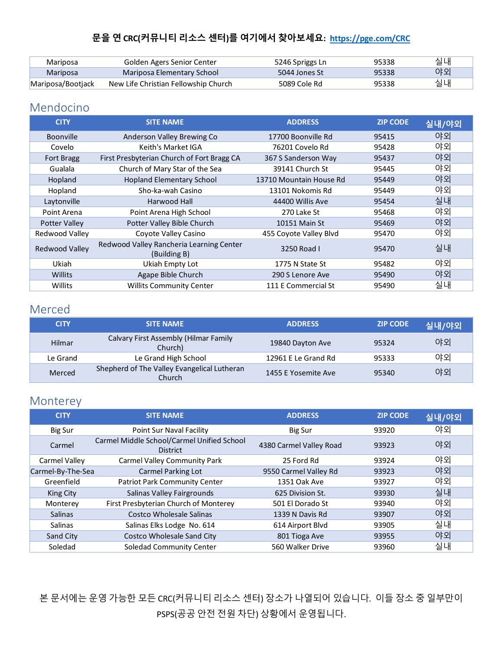| Mariposa          | Golden Agers Senior Center           | 5246 Spriggs Ln | 95338 | 실내 |
|-------------------|--------------------------------------|-----------------|-------|----|
| Mariposa          | Mariposa Elementary School           | 5044 Jones St   | 95338 | 야외 |
| Mariposa/Bootjack | New Life Christian Fellowship Church | 5089 Cole Rd    | 95338 | 실내 |

#### <span id="page-7-0"></span>Mendocino

| <b>CITY</b>          | <b>SITE NAME</b>                                         | <b>ADDRESS</b>          | <b>ZIP CODE</b> | 실내/야외 |
|----------------------|----------------------------------------------------------|-------------------------|-----------------|-------|
| <b>Boonville</b>     | Anderson Valley Brewing Co                               | 17700 Boonville Rd      | 95415           | 야외    |
| Covelo               | Keith's Market IGA                                       | 76201 Covelo Rd         | 95428           | 야외    |
| <b>Fort Bragg</b>    | First Presbyterian Church of Fort Bragg CA               | 367 S Sanderson Way     | 95437           | 야외    |
| Gualala              | Church of Mary Star of the Sea                           | 39141 Church St         | 95445           | 야외    |
| Hopland              | <b>Hopland Elementary School</b>                         | 13710 Mountain House Rd | 95449           | 야외    |
| Hopland              | Sho-ka-wah Casino                                        | 13101 Nokomis Rd        | 95449           | 야외    |
| Laytonville          | Harwood Hall                                             | 44400 Willis Ave        | 95454           | 실내    |
| Point Arena          | Point Arena High School                                  | 270 Lake St             | 95468           | 야외    |
| <b>Potter Valley</b> | Potter Valley Bible Church                               | 10151 Main St           | 95469           | 야외    |
| Redwood Valley       | Coyote Valley Casino                                     | 455 Coyote Valley Blvd  | 95470           | 야외    |
| Redwood Valley       | Redwood Valley Rancheria Learning Center<br>(Building B) | 3250 Road I             | 95470           | 실내    |
| Ukiah                | Ukiah Empty Lot                                          | 1775 N State St         | 95482           | 야외    |
| Willits              | Agape Bible Church                                       | 290 S Lenore Ave        | 95490           | 야외    |
| Willits              | <b>Willits Community Center</b>                          | 111 E Commercial St     | 95490           | 실내    |

#### <span id="page-7-1"></span>Merced

| <b>CITY</b> | <b>SITE NAME</b>                                      | <b>ADDRESS</b>      | <b>ZIP CODE</b> | 실내/야외 |
|-------------|-------------------------------------------------------|---------------------|-----------------|-------|
| Hilmar      | Calvary First Assembly (Hilmar Family<br>Church)      | 19840 Dayton Ave    | 95324           | 야외    |
| Le Grand    | Le Grand High School                                  | 12961 E Le Grand Rd | 95333           | 야외    |
| Merced      | Shepherd of The Valley Evangelical Lutheran<br>Church | 1455 E Yosemite Ave | 95340           | 야외    |

### <span id="page-7-2"></span>Monterey

| <b>CITY</b>       | <b>SITE NAME</b>                                              | <b>ADDRESS</b>          | <b>ZIP CODE</b> | 실내/야외 |
|-------------------|---------------------------------------------------------------|-------------------------|-----------------|-------|
| <b>Big Sur</b>    | Point Sur Naval Facility                                      | Big Sur                 | 93920           | 야외    |
| Carmel            | Carmel Middle School/Carmel Unified School<br><b>District</b> | 4380 Carmel Valley Road | 93923           | 야외    |
| Carmel Valley     | Carmel Valley Community Park                                  | 25 Ford Rd              | 93924           | 야외    |
| Carmel-By-The-Sea | <b>Carmel Parking Lot</b>                                     | 9550 Carmel Valley Rd   | 93923           | 야외    |
| Greenfield        | <b>Patriot Park Community Center</b>                          | 1351 Oak Ave            | 93927           | 야외    |
| King City         | Salinas Valley Fairgrounds                                    | 625 Division St.        | 93930           | 실내    |
| Monterey          | First Presbyterian Church of Monterey                         | 501 El Dorado St        | 93940           | 야외    |
| <b>Salinas</b>    | Costco Wholesale Salinas                                      | 1339 N Davis Rd         | 93907           | 야외    |
| Salinas           | Salinas Elks Lodge No. 614                                    | 614 Airport Blvd        | 93905           | 실내    |
| Sand City         | Costco Wholesale Sand City                                    | 801 Tioga Ave           | 93955           | 야외    |
| Soledad           | Soledad Community Center                                      | 560 Walker Drive        | 93960           | 실내    |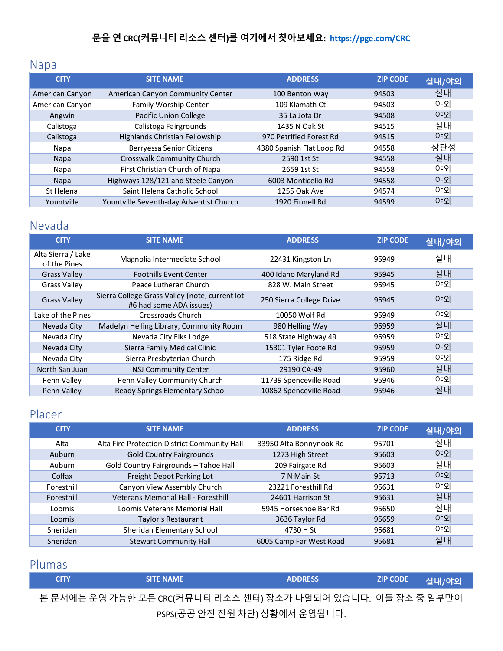# <span id="page-8-0"></span>Napa

| <b>CITY</b>     | <b>SITE NAME</b>                        | <b>ADDRESS</b>            | <b>ZIP CODE</b> | 실내/야외 |
|-----------------|-----------------------------------------|---------------------------|-----------------|-------|
| American Canyon | American Canyon Community Center        | 100 Benton Way            | 94503           | 실내    |
| American Canyon | Family Worship Center                   | 109 Klamath Ct            | 94503           | 야외    |
| Angwin          | Pacific Union College                   | 35 La Jota Dr             | 94508           | 야외    |
| Calistoga       | Calistoga Fairgrounds                   | 1435 N Oak St             | 94515           | 실내    |
| Calistoga       | Highlands Christian Fellowship          | 970 Petrified Forest Rd   | 94515           | 야외    |
| Napa            | Berryessa Senior Citizens               | 4380 Spanish Flat Loop Rd | 94558           | 상관성   |
| <b>Napa</b>     | Crosswalk Community Church              | 2590 1st St               | 94558           | 실내    |
| Napa            | First Christian Church of Napa          | 2659 1st St               | 94558           | 야외    |
| Napa            | Highways 128/121 and Steele Canyon      | 6003 Monticello Rd        | 94558           | 야외    |
| St Helena       | Saint Helena Catholic School            | 1255 Oak Ave              | 94574           | 야외    |
| Yountville      | Yountville Seventh-day Adventist Church | 1920 Finnell Rd           | 94599           | 야외    |

### <span id="page-8-1"></span>Nevada

| <b>CITY</b>                        | <b>SITE NAME</b>                                                          | <b>ADDRESS</b>           | <b>ZIP CODE</b> | 실내/야외 |
|------------------------------------|---------------------------------------------------------------------------|--------------------------|-----------------|-------|
| Alta Sierra / Lake<br>of the Pines | Magnolia Intermediate School                                              | 22431 Kingston Ln        | 95949           | 실내    |
| <b>Grass Valley</b>                | <b>Foothills Event Center</b>                                             | 400 Idaho Maryland Rd    | 95945           | 실내    |
| <b>Grass Valley</b>                | Peace Lutheran Church                                                     | 828 W. Main Street       | 95945           | 야외    |
| <b>Grass Valley</b>                | Sierra College Grass Valley (note, current lot<br>#6 had some ADA issues) | 250 Sierra College Drive | 95945           | 야외    |
| Lake of the Pines                  | Crossroads Church                                                         | 10050 Wolf Rd            | 95949           | 야외    |
| Nevada City                        | Madelyn Helling Library, Community Room                                   | 980 Helling Way          | 95959           | 실내    |
| Nevada City                        | Nevada City Elks Lodge                                                    | 518 State Highway 49     | 95959           | 야외    |
| Nevada City                        | Sierra Family Medical Clinic                                              | 15301 Tyler Foote Rd     | 95959           | 야외    |
| Nevada City                        | Sierra Presbyterian Church                                                | 175 Ridge Rd             | 95959           | 야외    |
| North San Juan                     | <b>NSJ Community Center</b>                                               | 29190 CA-49              | 95960           | 실내    |
| Penn Valley                        | Penn Valley Community Church                                              | 11739 Spenceville Road   | 95946           | 야외    |
| Penn Valley                        | Ready Springs Elementary School                                           | 10862 Spenceville Road   | 95946           | 실내    |

# <span id="page-8-2"></span>Placer

| <b>CITY</b> | <b>SITE NAME</b>                             | <b>ADDRESS</b>          | <b>ZIP CODE</b> | 실내/야외 |
|-------------|----------------------------------------------|-------------------------|-----------------|-------|
| Alta        | Alta Fire Protection District Community Hall | 33950 Alta Bonnynook Rd | 95701           | 실내    |
| Auburn      | <b>Gold Country Fairgrounds</b>              | 1273 High Street        | 95603           | 야외    |
| Auburn      | Gold Country Fairgrounds - Tahoe Hall        | 209 Fairgate Rd         | 95603           | 실내    |
| Colfax      | Freight Depot Parking Lot                    | 7 N Main St             | 95713           | 야외    |
| Foresthill  | Canyon View Assembly Church                  | 23221 Foresthill Rd     | 95631           | 야외    |
| Foresthill  | Veterans Memorial Hall - Foresthill          | 24601 Harrison St       | 95631           | 실내    |
| Loomis      | Loomis Veterans Memorial Hall                | 5945 Horseshoe Bar Rd   | 95650           | 실내    |
| Loomis      | Taylor's Restaurant                          | 3636 Taylor Rd          | 95659           | 야외    |
| Sheridan    | Sheridan Elementary School                   | 4730 H St               | 95681           | 야외    |
| Sheridan    | <b>Stewart Community Hall</b>                | 6005 Camp Far West Road | 95681           | 실내    |

#### <span id="page-8-3"></span>Plumas

| <b>CITY</b> | <b>SITE NAME</b>                                              | <b>ADDRESS</b>                | <b>ZIP CODE</b> | 실내/야외 |
|-------------|---------------------------------------------------------------|-------------------------------|-----------------|-------|
|             | 본 문서에는 운영 가능한 모든 CRC(커뮤니티 리소스 센터) 장소가 나열되어 있습니다. 이들 장소 중 일부만이 |                               |                 |       |
|             |                                                               | psps(공공 안전 전원 차단) 상황에서 운영됩니다. |                 |       |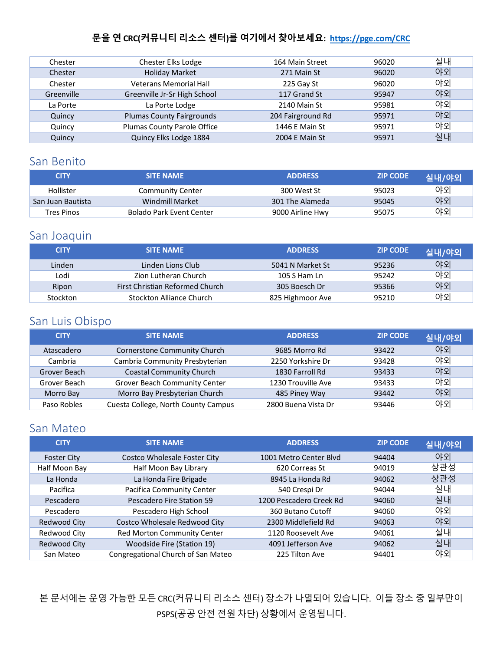| Chester    | Chester Elks Lodge               | 164 Main Street   | 96020 | 실내 |
|------------|----------------------------------|-------------------|-------|----|
| Chester    | <b>Holiday Market</b>            | 271 Main St       | 96020 | 야외 |
| Chester    | <b>Veterans Memorial Hall</b>    | 225 Gay St        | 96020 | 야외 |
| Greenville | Greenville Jr-Sr High School     | 117 Grand St      | 95947 | 야외 |
| La Porte   | La Porte Lodge                   | 2140 Main St      | 95981 | 야외 |
| Quincy     | <b>Plumas County Fairgrounds</b> | 204 Fairground Rd | 95971 | 야외 |
| Quincy     | Plumas County Parole Office      | 1446 E Main St    | 95971 | 야외 |
| Quincy     | Quincy Elks Lodge 1884           | 2004 E Main St    | 95971 | 실내 |

#### <span id="page-9-0"></span>San Benito

| <b>CITY</b>       | <b>SITE NAME</b>         | <b>ADDRESS</b>   | <b>ZIP CODE</b> | <b>.실내/야외</b> |
|-------------------|--------------------------|------------------|-----------------|---------------|
| Hollister         | <b>Community Center</b>  | 300 West St      | 95023           | 야외            |
| San Juan Bautista | Windmill Market          | 301 The Alameda  | 95045           | 야외            |
| Tres Pinos        | Bolado Park Event Center | 9000 Airline Hwy | 95075           | 야외            |

#### <span id="page-9-1"></span>San Joaquin

| <b>CITY</b> | <b>SITE NAME</b>                | <b>ADDRESS</b>   | <b>ZIP CODE</b> | 실내/야외 |
|-------------|---------------------------------|------------------|-----------------|-------|
| Linden      | Linden Lions Club               | 5041 N Market St | 95236           | 야외    |
| Lodi        | Zion Lutheran Church            | 105 S Ham Ln     | 95242           | 야외    |
| Ripon       | First Christian Reformed Church | 305 Boesch Dr    | 95366           | 야외    |
| Stockton    | Stockton Alliance Church        | 825 Highmoor Ave | 95210           | 야외    |

### <span id="page-9-2"></span>San Luis Obispo

| <b>CITY</b>  | <b>SITE NAME</b>                    | <b>ADDRESS</b>      | <b>ZIP CODE</b> | 실내/야외 |
|--------------|-------------------------------------|---------------------|-----------------|-------|
| Atascadero   | Cornerstone Community Church        | 9685 Morro Rd       | 93422           | 야외    |
| Cambria      | Cambria Community Presbyterian      | 2250 Yorkshire Dr   | 93428           | 야외    |
| Grover Beach | <b>Coastal Community Church</b>     | 1830 Farroll Rd     | 93433           | 야외    |
| Grover Beach | Grover Beach Community Center       | 1230 Trouville Ave  | 93433           | 야외    |
| Morro Bay    | Morro Bay Presbyterian Church       | 485 Piney Way       | 93442           | 야외    |
| Paso Robles  | Cuesta College, North County Campus | 2800 Buena Vista Dr | 93446           | 야외    |

#### <span id="page-9-3"></span>San Mateo

| <b>CITY</b>        | <b>SITE NAME</b>                    | <b>ADDRESS</b>          | <b>ZIP CODE</b> | 실내/야외 |
|--------------------|-------------------------------------|-------------------------|-----------------|-------|
| <b>Foster City</b> | <b>Costco Wholesale Foster City</b> | 1001 Metro Center Blyd  | 94404           | 야외    |
| Half Moon Bay      | Half Moon Bay Library               | 620 Correas St          | 94019           | 상관성   |
| La Honda           | La Honda Fire Brigade               | 8945 La Honda Rd        | 94062           | 상관성   |
| Pacifica           | Pacifica Community Center           | 540 Crespi Dr           | 94044           | 실내    |
| Pescadero          | Pescadero Fire Station 59           | 1200 Pescadero Creek Rd | 94060           | 실내    |
| Pescadero          | Pescadero High School               | 360 Butano Cutoff       | 94060           | 야외    |
| Redwood City       | Costco Wholesale Redwood City       | 2300 Middlefield Rd     | 94063           | 야외    |
| Redwood City       | Red Morton Community Center         | 1120 Roosevelt Ave      | 94061           | 실내    |
| Redwood City       | Woodside Fire (Station 19)          | 4091 Jefferson Ave      | 94062           | 실내    |
| San Mateo          | Congregational Church of San Mateo  | 225 Tilton Ave          | 94401           | 야외    |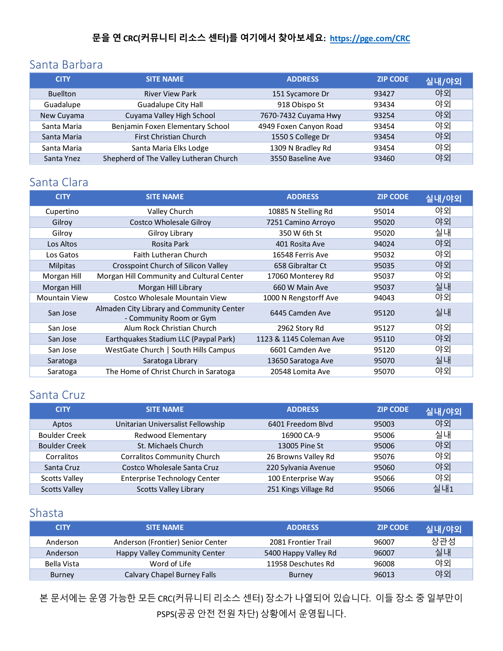#### <span id="page-10-0"></span>Santa Barbara

| <b>CITY</b>     | <b>SITE NAME</b>                       | <b>ADDRESS</b>         | <b>ZIP CODE</b> | 실내/야외 |
|-----------------|----------------------------------------|------------------------|-----------------|-------|
| <b>Buellton</b> | <b>River View Park</b>                 | 151 Sycamore Dr        | 93427           | 야외    |
| Guadalupe       | <b>Guadalupe City Hall</b>             | 918 Obispo St          | 93434           | 야외    |
| New Cuyama      | Cuyama Valley High School              | 7670-7432 Cuyama Hwy   | 93254           | 야외    |
| Santa Maria     | Benjamin Foxen Elementary School       | 4949 Foxen Canyon Road | 93454           | 야외    |
| Santa Maria     | First Christian Church                 | 1550 S College Dr      | 93454           | 야외    |
| Santa Maria     | Santa Maria Elks Lodge                 | 1309 N Bradley Rd      | 93454           | 야외    |
| Santa Ynez      | Shepherd of The Valley Lutheran Church | 3550 Baseline Ave      | 93460           | 야외    |

#### <span id="page-10-1"></span>Santa Clara

| <b>CITY</b>          | <b>SITE NAME</b>                                                     | <b>ADDRESS</b>          | <b>ZIP CODE</b> | 실내/야외 |
|----------------------|----------------------------------------------------------------------|-------------------------|-----------------|-------|
| Cupertino            | Valley Church                                                        | 10885 N Stelling Rd     | 95014           | 야외    |
| Gilroy               | Costco Wholesale Gilroy                                              | 7251 Camino Arroyo      | 95020           | 야외    |
| Gilroy               | Gilroy Library                                                       | 350 W 6th St            | 95020           | 실내    |
| Los Altos            | Rosita Park                                                          | 401 Rosita Ave          | 94024           | 야외    |
| Los Gatos            | <b>Faith Lutheran Church</b>                                         | 16548 Ferris Ave        | 95032           | 야외    |
| <b>Milpitas</b>      | Crosspoint Church of Silicon Valley                                  | 658 Gibraltar Ct        | 95035           | 야외    |
| Morgan Hill          | Morgan Hill Community and Cultural Center                            | 17060 Monterey Rd       | 95037           | 야외    |
| Morgan Hill          | Morgan Hill Library                                                  | 660 W Main Ave          | 95037           | 실내    |
| <b>Mountain View</b> | Costco Wholesale Mountain View                                       | 1000 N Rengstorff Ave   | 94043           | 야외    |
| San Jose             | Almaden City Library and Community Center<br>- Community Room or Gym | 6445 Camden Ave         | 95120           | 실내    |
| San Jose             | Alum Rock Christian Church                                           | 2962 Story Rd           | 95127           | 야외    |
| San Jose             | Earthquakes Stadium LLC (Paypal Park)                                | 1123 & 1145 Coleman Ave | 95110           | 야외    |
| San Jose             | WestGate Church   South Hills Campus                                 | 6601 Camden Ave         | 95120           | 야외    |
| Saratoga             | Saratoga Library                                                     | 13650 Saratoga Ave      | 95070           | 실내    |
| Saratoga             | The Home of Christ Church in Saratoga                                | 20548 Lomita Ave        | 95070           | 야외    |

#### <span id="page-10-2"></span>Santa Cruz

| <b>CITY</b>          | <b>SITE NAME</b>                    | <b>ADDRESS</b>       | <b>ZIP CODE</b> | 실내/야외 |
|----------------------|-------------------------------------|----------------------|-----------------|-------|
| Aptos                | Unitarian Universalist Fellowship   | 6401 Freedom Blvd    | 95003           | 야외    |
| <b>Boulder Creek</b> | <b>Redwood Elementary</b>           | 16900 CA-9           | 95006           | 실내    |
| <b>Boulder Creek</b> | St. Michaels Church                 | 13005 Pine St        | 95006           | 야외    |
| Corralitos           | <b>Corralitos Community Church</b>  | 26 Browns Valley Rd  | 95076           | 야외    |
| Santa Cruz           | Costco Wholesale Santa Cruz         | 220 Sylvania Avenue  | 95060           | 야외    |
| <b>Scotts Valley</b> | <b>Enterprise Technology Center</b> | 100 Enterprise Way   | 95066           | 야외    |
| <b>Scotts Valley</b> | <b>Scotts Valley Library</b>        | 251 Kings Village Rd | 95066           | 실내1   |

#### <span id="page-10-3"></span>Shasta

| <b>CITY</b>   | <b>SITE NAME</b>                  | <b>ADDRESS</b>       | <b>ZIP CODE</b> | 실내/야외 |
|---------------|-----------------------------------|----------------------|-----------------|-------|
| Anderson      | Anderson (Frontier) Senior Center | 2081 Frontier Trail  | 96007           | 상관성   |
| Anderson      | Happy Valley Community Center     | 5400 Happy Valley Rd | 96007           | 실내    |
| Bella Vista   | Word of Life                      | 11958 Deschutes Rd   | 96008           | 야외    |
| <b>Burney</b> | Calvary Chapel Burney Falls       | <b>Burney</b>        | 96013           | 야외    |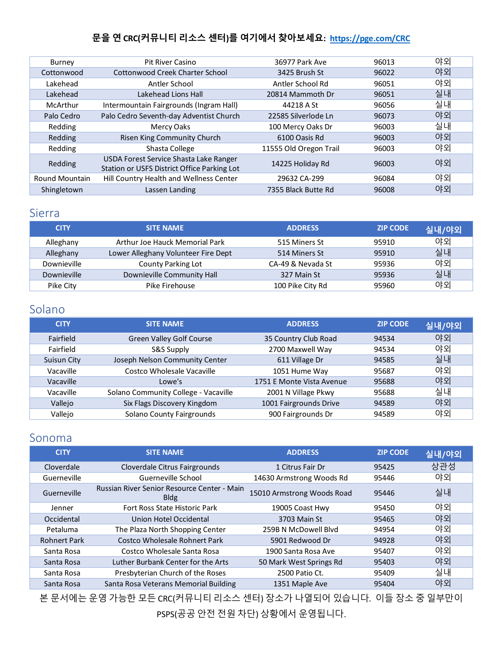| Burney                | <b>Pit River Casino</b>                                                               | 36977 Park Ave         | 96013 | 야외 |
|-----------------------|---------------------------------------------------------------------------------------|------------------------|-------|----|
| Cottonwood            | Cottonwood Creek Charter School                                                       | 3425 Brush St          | 96022 | 야외 |
| Lakehead              | Antler School                                                                         | Antler School Rd       | 96051 | 야외 |
| Lakehead              | Lakehead Lions Hall                                                                   | 20814 Mammoth Dr       | 96051 | 실내 |
| McArthur              | Intermountain Fairgrounds (Ingram Hall)                                               | 44218 A St             | 96056 | 실내 |
| Palo Cedro            | Palo Cedro Seventh-day Adventist Church                                               | 22585 Silverlode Ln    | 96073 | 야외 |
| Redding               | Mercy Oaks                                                                            | 100 Mercy Oaks Dr      | 96003 | 실내 |
| Redding               | Risen King Community Church                                                           | 6100 Oasis Rd          | 96003 | 야외 |
| Redding               | Shasta College                                                                        | 11555 Old Oregon Trail | 96003 | 야외 |
| Redding               | USDA Forest Service Shasta Lake Ranger<br>Station or USFS District Office Parking Lot | 14225 Holiday Rd       | 96003 | 야외 |
| <b>Round Mountain</b> | Hill Country Health and Wellness Center                                               | 29632 CA-299           | 96084 | 야외 |
| Shingletown           | Lassen Landing                                                                        | 7355 Black Butte Rd    | 96008 | 야외 |

#### <span id="page-11-0"></span>Sierra

| <b>CITY</b> | <b>SITE NAME</b>                    | <b>ADDRESS</b>    | <b>ZIP CODE</b> | 실내/야외 |
|-------------|-------------------------------------|-------------------|-----------------|-------|
| Alleghany   | Arthur Joe Hauck Memorial Park      | 515 Miners St     | 95910           | 야외    |
| Alleghany   | Lower Alleghany Volunteer Fire Dept | 514 Miners St     | 95910           | 실내    |
| Downieville | <b>County Parking Lot</b>           | CA-49 & Nevada St | 95936           | 야외    |
| Downieville | Downieville Community Hall          | 327 Main St       | 95936           | 실내    |
| Pike City   | Pike Firehouse                      | 100 Pike City Rd  | 95960           | 야외    |

#### <span id="page-11-1"></span>Solano

| <b>CITY</b> | <b>SITE NAME</b>                     | <b>ADDRESS</b>            | <b>ZIP CODE</b> | 실내/야외 |
|-------------|--------------------------------------|---------------------------|-----------------|-------|
| Fairfield   | Green Valley Golf Course             | 35 Country Club Road      | 94534           | 야외    |
| Fairfield   | S&S Supply                           | 2700 Maxwell Way          | 94534           | 야외    |
| Suisun City | Joseph Nelson Community Center       | 611 Village Dr            | 94585           | 실내    |
| Vacaville   | Costco Wholesale Vacaville           | 1051 Hume Way             | 95687           | 야외    |
| Vacaville   | Lowe's                               | 1751 E Monte Vista Avenue | 95688           | 야외    |
| Vacaville   | Solano Community College - Vacaville | 2001 N Village Pkwy       | 95688           | 실내    |
| Vallejo     | Six Flags Discovery Kingdom          | 1001 Fairgrounds Drive    | 94589           | 야외    |
| Vallejo     | Solano County Fairgrounds            | 900 Fairgrounds Dr        | 94589           | 야외    |

#### <span id="page-11-2"></span>Sonoma

| <b>CITY</b>         | <b>SITE NAME</b>                                           | <b>ADDRESS</b>             | <b>ZIP CODE</b> | 실내/야외 |
|---------------------|------------------------------------------------------------|----------------------------|-----------------|-------|
| Cloverdale          | Cloverdale Citrus Fairgrounds                              | 1 Citrus Fair Dr           | 95425           | 상관성   |
| Guerneville         | Guerneville School                                         | 14630 Armstrong Woods Rd   | 95446           | 야외    |
| Guerneville         | Russian River Senior Resource Center - Main<br><b>Bldg</b> | 15010 Armstrong Woods Road | 95446           | 실내    |
| Jenner              | Fort Ross State Historic Park                              | 19005 Coast Hwy            | 95450           | 야외    |
| Occidental          | Union Hotel Occidental                                     | 3703 Main St               | 95465           | 야외    |
| Petaluma            | The Plaza North Shopping Center                            | 259B N McDowell Blyd       | 94954           | 야외    |
| <b>Rohnert Park</b> | Costco Wholesale Rohnert Park                              | 5901 Redwood Dr            | 94928           | 야외    |
| Santa Rosa          | Costco Wholesale Santa Rosa                                | 1900 Santa Rosa Ave        | 95407           | 야외    |
| Santa Rosa          | Luther Burbank Center for the Arts                         | 50 Mark West Springs Rd    | 95403           | 야외    |
| Santa Rosa          | Presbyterian Church of the Roses                           | 2500 Patio Ct.             | 95409           | 실내    |
| Santa Rosa          | Santa Rosa Veterans Memorial Building                      | 1351 Maple Ave             | 95404           | 야외    |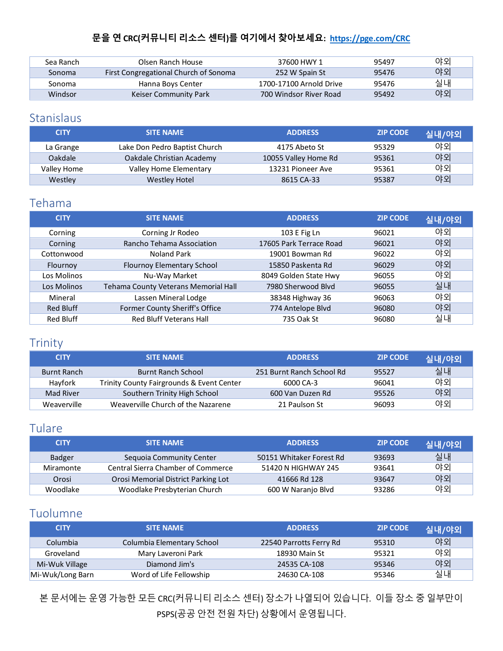| Sea Ranch | Olsen Ranch House                     | 37600 HWY 1             | 95497 | 야외 |
|-----------|---------------------------------------|-------------------------|-------|----|
| Sonoma    | First Congregational Church of Sonoma | 252 W Spain St          | 95476 | 야외 |
| Sonoma    | Hanna Boys Center                     | 1700-17100 Arnold Drive | 95476 | 실내 |
| Windsor   | Keiser Community Park                 | 700 Windsor River Road  | 95492 | 야외 |

#### <span id="page-12-0"></span>Stanislaus

| <b>CITY</b> | <b>SITE NAME</b>              | <b>ADDRESS</b>       | <b>ZIP CODE</b> | 실내/야외 |
|-------------|-------------------------------|----------------------|-----------------|-------|
| La Grange   | Lake Don Pedro Baptist Church | 4175 Abeto St        | 95329           | 야외    |
| Oakdale     | Oakdale Christian Academy     | 10055 Valley Home Rd | 95361           | 야외    |
| Valley Home | Valley Home Elementary        | 13231 Pioneer Ave    | 95361           | 야외    |
| Westley     | <b>Westley Hotel</b>          | 8615 CA-33           | 95387           | 야외    |

#### <span id="page-12-1"></span>Tehama

| <b>CITY</b>      | <b>SITE NAME</b>                     | <b>ADDRESS</b>          | <b>ZIP CODE</b> | 실내/야외 |
|------------------|--------------------------------------|-------------------------|-----------------|-------|
| Corning          | Corning Jr Rodeo                     | 103 E Fig Ln            | 96021           | 야외    |
| Corning          | Rancho Tehama Association            | 17605 Park Terrace Road | 96021           | 야외    |
| Cottonwood       | Noland Park                          | 19001 Bowman Rd         | 96022           | 야외    |
| Flournoy         | Flournoy Elementary School           | 15850 Paskenta Rd       | 96029           | 야외    |
| Los Molinos      | Nu-Way Market                        | 8049 Golden State Hwy   | 96055           | 야외    |
| Los Molinos      | Tehama County Veterans Memorial Hall | 7980 Sherwood Blyd      | 96055           | 실내    |
| Mineral          | Lassen Mineral Lodge                 | 38348 Highway 36        | 96063           | 야외    |
| <b>Red Bluff</b> | Former County Sheriff's Office       | 774 Antelope Blvd       | 96080           | 야외    |
| <b>Red Bluff</b> | <b>Red Bluff Veterans Hall</b>       | 735 Oak St              | 96080           | 실내    |

#### <span id="page-12-2"></span>Trinity

| <b>CITY</b> | <b>SITE NAME</b>                          | <b>ADDRESS</b>            | <b>ZIP CODE</b> | 실내/야외 |
|-------------|-------------------------------------------|---------------------------|-----------------|-------|
| Burnt Ranch | <b>Burnt Ranch School</b>                 | 251 Burnt Ranch School Rd | 95527           | 실내    |
| Havfork     | Trinity County Fairgrounds & Event Center | 6000 CA-3                 | 96041           | 야외    |
| Mad River   | Southern Trinity High School              | 600 Van Duzen Rd          | 95526           | 야외    |
| Weaverville | Weaverville Church of the Nazarene        | 21 Paulson St             | 96093           | 야외    |

### <span id="page-12-3"></span>Tulare

| <b>CITY</b> | <b>SITE NAME</b>                          | <b>ADDRESS</b>           | <b>ZIP CODE</b> | 실내/야외 |
|-------------|-------------------------------------------|--------------------------|-----------------|-------|
| Badger      | Sequoia Community Center                  | 50151 Whitaker Forest Rd | 93693           | 실내    |
| Miramonte   | <b>Central Sierra Chamber of Commerce</b> | 51420 N HIGHWAY 245      | 93641           | 야외    |
| Orosi       | Orosi Memorial District Parking Lot       | 41666 Rd 128             | 93647           | 야외    |
| Woodlake    | Woodlake Presbyterian Church              | 600 W Naranjo Blvd       | 93286           | 야외    |

### <span id="page-12-4"></span>Tuolumne

| <b>CITY</b>      | <b>SITE NAME</b>           | <b>ADDRESS</b>          | <b>ZIP CODE</b> | 실내/야외 |
|------------------|----------------------------|-------------------------|-----------------|-------|
| Columbia         | Columbia Elementary School | 22540 Parrotts Ferry Rd | 95310           | 야외    |
| Groveland        | Mary Laveroni Park         | 18930 Main St           | 95321           | 야외    |
| Mi-Wuk Village   | Diamond Jim's              | 24535 CA-108            | 95346           | 야외    |
| Mi-Wuk/Long Barn | Word of Life Fellowship    | 24630 CA-108            | 95346           | 실내    |